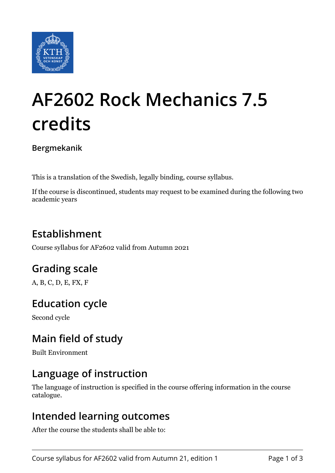

# **AF2602 Rock Mechanics 7.5 credits**

**Bergmekanik**

This is a translation of the Swedish, legally binding, course syllabus.

If the course is discontinued, students may request to be examined during the following two academic years

# **Establishment**

Course syllabus for AF2602 valid from Autumn 2021

## **Grading scale**

A, B, C, D, E, FX, F

## **Education cycle**

Second cycle

## **Main field of study**

Built Environment

#### **Language of instruction**

The language of instruction is specified in the course offering information in the course catalogue.

#### **Intended learning outcomes**

After the course the students shall be able to: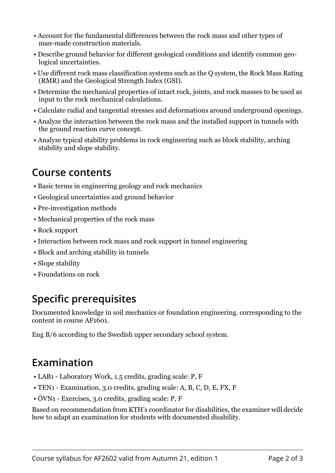- Account for the fundamental differences between the rock mass and other types of man-made construction materials.
- Describe ground behavior for different geological conditions and identify common geological uncertainties.
- Use different rock mass classification systems such as the Q system, the Rock Mass Rating (RMR) and the Geological Strength Index (GSI).
- Determine the mechanical properties of intact rock, joints, and rock masses to be used as input to the rock mechanical calculations.
- Calculate radial and tangential stresses and deformations around underground openings.
- Analyze the interaction between the rock mass and the installed support in tunnels with the ground reaction curve concept.
- Analyze typical stability problems in rock engineering such as block stability, arching stability and slope stability.

#### **Course contents**

- Basic terms in engineering geology and rock mechanics
- Geological uncertainties and ground behavior
- Pre-investigation methods
- Mechanical properties of the rock mass
- Rock support
- Interaction between rock mass and rock support in tunnel engineering
- Block and arching stability in tunnels
- Slope stability
- Foundations on rock

# **Specific prerequisites**

Documented knowledge in soil mechanics or foundation engineering. corresponding to the content in course AF1601.

Eng B/6 according to the Swedish upper secondary school system.

## **Examination**

- LAB1 Laboratory Work, 1.5 credits, grading scale: P, F
- TEN1 Examination, 3.0 credits, grading scale: A, B, C, D, E, FX, F
- ÖVN1 Exercises, 3.0 credits, grading scale: P, F

Based on recommendation from KTH's coordinator for disabilities, the examiner will decide how to adapt an examination for students with documented disability.